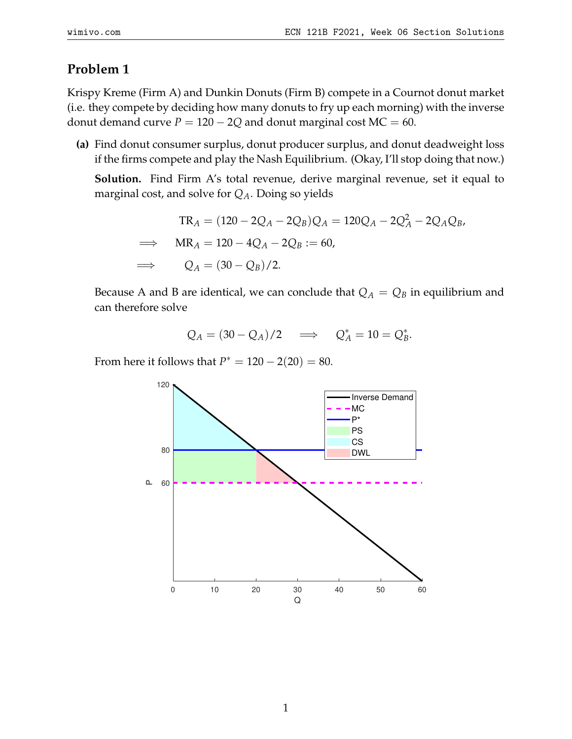## **Problem 1**

Krispy Kreme (Firm A) and Dunkin Donuts (Firm B) compete in a Cournot donut market (i.e. they compete by deciding how many donuts to fry up each morning) with the inverse donut demand curve  $P = 120 - 2Q$  and donut marginal cost  $MC = 60$ .

**(a)** Find donut consumer surplus, donut producer surplus, and donut deadweight loss if the firms compete and play the Nash Equilibrium. (Okay, I'll stop doing that now.)

**Solution.** Find Firm A's total revenue, derive marginal revenue, set it equal to marginal cost, and solve for *QA*. Doing so yields

$$
TR_A = (120 - 2Q_A - 2Q_B)Q_A = 120Q_A - 2Q_A^2 - 2Q_AQ_B,
$$
  
\n
$$
\implies MR_A = 120 - 4Q_A - 2Q_B := 60,
$$
  
\n
$$
\implies Q_A = (30 - Q_B)/2.
$$

Because A and B are identical, we can conclude that  $Q_A = Q_B$  in equilibrium and can therefore solve

$$
Q_A = (30 - Q_A)/2 \quad \Longrightarrow \quad Q_A^* = 10 = Q_B^*.
$$

From here it follows that  $P^* = 120 - 2(20) = 80$ .

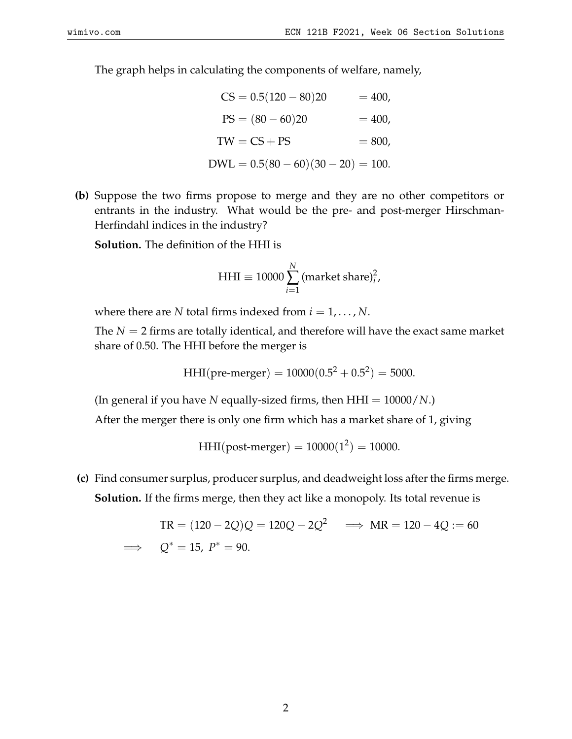The graph helps in calculating the components of welfare, namely,

$$
CS = 0.5(120 - 80)20 = 400,
$$
  
\n
$$
PS = (80 - 60)20 = 400,
$$
  
\n
$$
TW = CS + PS = 800,
$$
  
\n
$$
DWL = 0.5(80 - 60)(30 - 20) = 100.
$$

**(b)** Suppose the two firms propose to merge and they are no other competitors or entrants in the industry. What would be the pre- and post-merger Hirschman-Herfindahl indices in the industry?

**Solution.** The definition of the HHI is

$$
HHI \equiv 10000 \sum_{i=1}^{N} (market share)_i^2,
$$

where there are *N* total firms indexed from  $i = 1, \dots, N$ .

The  $N = 2$  firms are totally identical, and therefore will have the exact same market share of 0.50. The HHI before the merger is

HHI(pre-merger) = 
$$
10000(0.5^2 + 0.5^2) = 5000
$$
.

(In general if you have *N* equally-sized firms, then HHI = 10000/*N*.)

After the merger there is only one firm which has a market share of 1, giving

 $HHI(post-merger) = 10000(1^2) = 10000.$ 

**(c)** Find consumer surplus, producer surplus, and deadweight loss after the firms merge. **Solution.** If the firms merge, then they act like a monopoly. Its total revenue is

$$
TR = (120 - 2Q)Q = 120Q - 2Q^2 \implies MR = 120 - 4Q := 60
$$
  

$$
\implies Q^* = 15, P^* = 90.
$$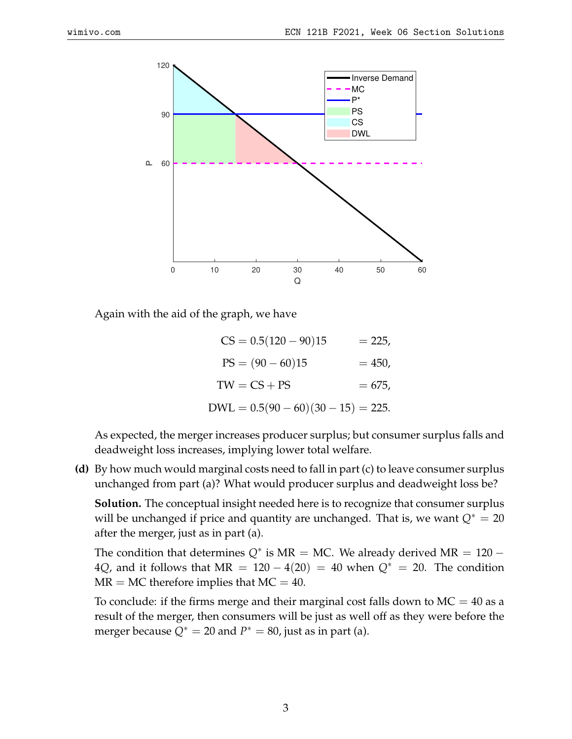

Again with the aid of the graph, we have

$$
CS = 0.5(120 - 90)15 = 225,
$$
  
\n
$$
PS = (90 - 60)15 = 450,
$$
  
\n
$$
TW = CS + PS = 675,
$$
  
\n
$$
DWL = 0.5(90 - 60)(30 - 15) = 225.
$$

As expected, the merger increases producer surplus; but consumer surplus falls and deadweight loss increases, implying lower total welfare.

**(d)** By how much would marginal costs need to fall in part (c) to leave consumer surplus unchanged from part (a)? What would producer surplus and deadweight loss be?

**Solution.** The conceptual insight needed here is to recognize that consumer surplus will be unchanged if price and quantity are unchanged. That is, we want  $Q^* = 20$ after the merger, just as in part (a).

The condition that determines  $Q^*$  is MR = MC. We already derived MR =  $120 -$ 4Q, and it follows that MR =  $120 - 4(20) = 40$  when  $Q^* = 20$ . The condition  $MR = MC$  therefore implies that  $MC = 40$ .

To conclude: if the firms merge and their marginal cost falls down to  $MC = 40$  as a result of the merger, then consumers will be just as well off as they were before the merger because  $Q^* = 20$  and  $P^* = 80$ , just as in part (a).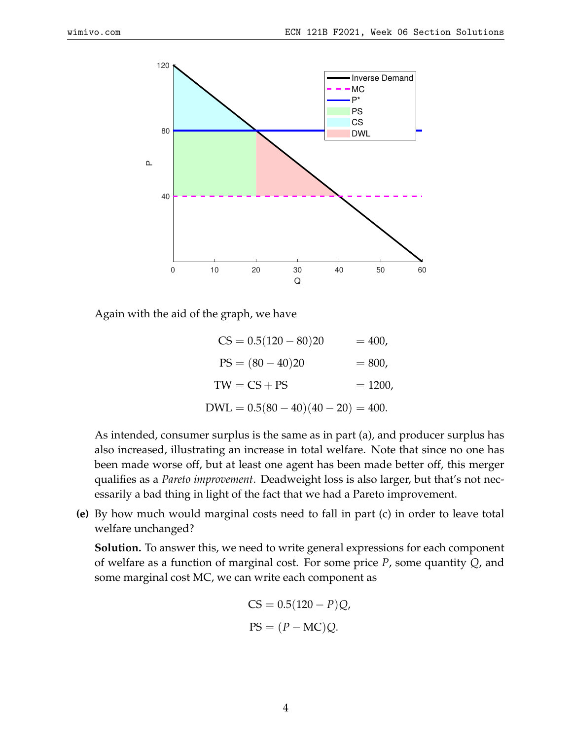

Again with the aid of the graph, we have

$$
CS = 0.5(120 - 80)20 = 400,
$$
  
\n
$$
PS = (80 - 40)20 = 800,
$$
  
\n
$$
TW = CS + PS = 1200,
$$
  
\n
$$
DWL = 0.5(80 - 40)(40 - 20) = 400.
$$

As intended, consumer surplus is the same as in part (a), and producer surplus has also increased, illustrating an increase in total welfare. Note that since no one has been made worse off, but at least one agent has been made better off, this merger qualifies as a *Pareto improvement*. Deadweight loss is also larger, but that's not necessarily a bad thing in light of the fact that we had a Pareto improvement.

**(e)** By how much would marginal costs need to fall in part (c) in order to leave total welfare unchanged?

**Solution.** To answer this, we need to write general expressions for each component of welfare as a function of marginal cost. For some price *P*, some quantity *Q*, and some marginal cost MC, we can write each component as

$$
CS = 0.5(120 - P)Q,
$$
  
PS =  $(P - MC)Q$ .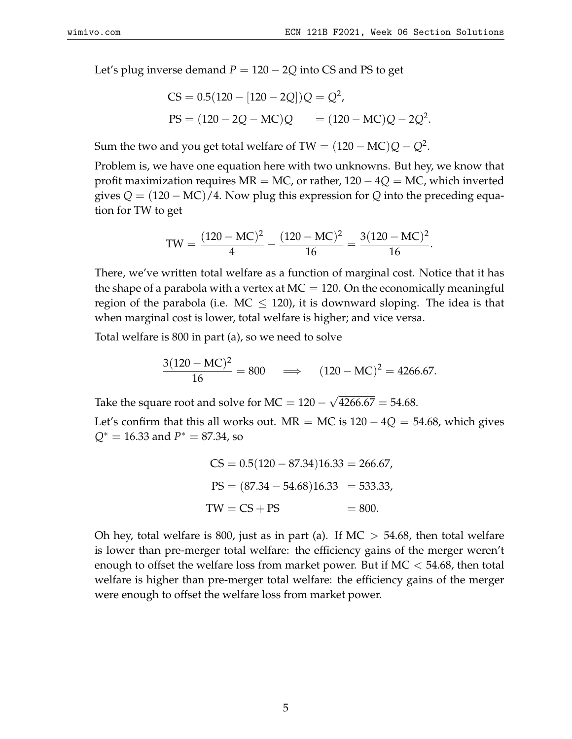Let's plug inverse demand  $P = 120 - 2Q$  into CS and PS to get

$$
CS = 0.5(120 - [120 - 2Q])Q = Q2,
$$
  
PS = (120 - 2Q - MC)Q = (120 - MC)Q - 2Q<sup>2</sup>.

Sum the two and you get total welfare of TW =  $(120-\text{MC})Q - Q^2$ .

Problem is, we have one equation here with two unknowns. But hey, we know that profit maximization requires MR = MC, or rather, 120 − 4*Q* = MC, which inverted gives  $Q = (120 - MC)/4$ . Now plug this expression for  $Q$  into the preceding equation for TW to get

$$
TW = \frac{(120 - MC)^2}{4} - \frac{(120 - MC)^2}{16} = \frac{3(120 - MC)^2}{16}.
$$

There, we've written total welfare as a function of marginal cost. Notice that it has the shape of a parabola with a vertex at  $MC = 120$ . On the economically meaningful region of the parabola (i.e.  $MC \leq 120$ ), it is downward sloping. The idea is that when marginal cost is lower, total welfare is higher; and vice versa.

Total welfare is 800 in part (a), so we need to solve

$$
\frac{3(120 - \text{MC})^2}{16} = 800 \quad \implies \quad (120 - \text{MC})^2 = 4266.67.
$$

Take the square root and solve for  $MC = 120 -$ √  $4266.67 = 54.68.$ 

Let's confirm that this all works out. MR = MC is  $120 - 4Q = 54.68$ , which gives *Q*<sup>∗</sup> = 16.33 and *P* <sup>∗</sup> = 87.34, so

$$
CS = 0.5(120 - 87.34)16.33 = 266.67,
$$
  
\n
$$
PS = (87.34 - 54.68)16.33 = 533.33,
$$
  
\n
$$
TW = CS + PS = 800.
$$

Oh hey, total welfare is 800, just as in part (a). If  $MC > 54.68$ , then total welfare is lower than pre-merger total welfare: the efficiency gains of the merger weren't enough to offset the welfare loss from market power. But if  $MC < 54.68$ , then total welfare is higher than pre-merger total welfare: the efficiency gains of the merger were enough to offset the welfare loss from market power.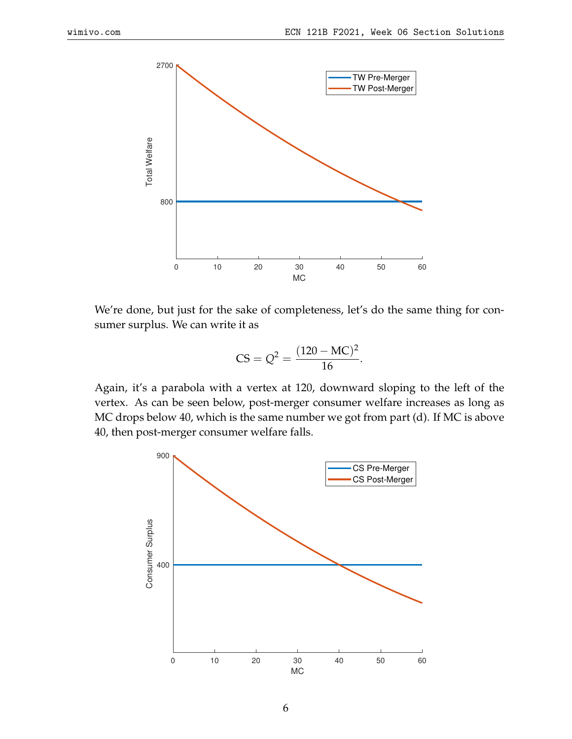

We're done, but just for the sake of completeness, let's do the same thing for consumer surplus. We can write it as

$$
CS = Q^2 = \frac{(120 - MC)^2}{16}.
$$

Again, it's a parabola with a vertex at 120, downward sloping to the left of the vertex. As can be seen below, post-merger consumer welfare increases as long as MC drops below 40, which is the same number we got from part (d). If MC is above 40, then post-merger consumer welfare falls.

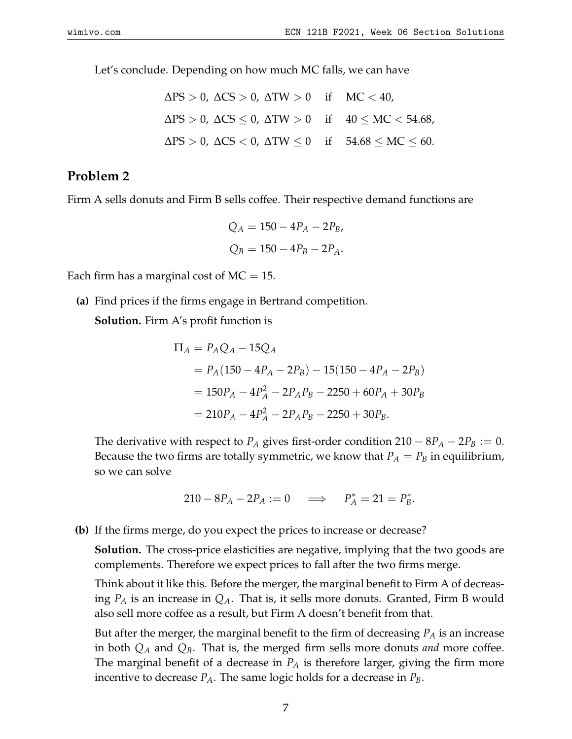Let's conclude. Depending on how much MC falls, we can have

$$
\Delta PS > 0, \ \Delta CS > 0, \ \Delta TW > 0 \quad \text{if} \quad MC < 40,
$$
  

$$
\Delta PS > 0, \ \Delta CS \le 0, \ \Delta TW > 0 \quad \text{if} \quad 40 \le MC < 54.68,
$$
  

$$
\Delta PS > 0, \ \Delta CS < 0, \ \Delta TW \le 0 \quad \text{if} \quad 54.68 \le MC \le 60.
$$

## **Problem 2**

Firm A sells donuts and Firm B sells coffee. Their respective demand functions are

$$
Q_A = 150 - 4P_A - 2P_B,
$$
  

$$
Q_B = 150 - 4P_B - 2P_A.
$$

Each firm has a marginal cost of  $MC = 15$ .

**(a)** Find prices if the firms engage in Bertrand competition. **Solution.** Firm A's profit function is

$$
\Pi_A = P_A Q_A - 15Q_A
$$
  
=  $P_A (150 - 4P_A - 2P_B) - 15(150 - 4P_A - 2P_B)$   
=  $150P_A - 4P_A^2 - 2P_A P_B - 2250 + 60P_A + 30P_B$   
=  $210P_A - 4P_A^2 - 2P_A P_B - 2250 + 30P_B$ .

The derivative with respect to  $P_A$  gives first-order condition  $210 - 8P_A - 2P_B := 0$ . Because the two firms are totally symmetric, we know that  $P_A = P_B$  in equilibrium, so we can solve

$$
210 - 8P_A - 2P_A := 0 \implies P_A^* = 21 = P_B^*.
$$

**(b)** If the firms merge, do you expect the prices to increase or decrease?

**Solution.** The cross-price elasticities are negative, implying that the two goods are complements. Therefore we expect prices to fall after the two firms merge.

Think about it like this. Before the merger, the marginal benefit to Firm A of decreasing *P<sup>A</sup>* is an increase in *QA*. That is, it sells more donuts. Granted, Firm B would also sell more coffee as a result, but Firm A doesn't benefit from that.

But after the merger, the marginal benefit to the firm of decreasing *P<sup>A</sup>* is an increase in both *Q<sup>A</sup>* and *QB*. That is, the merged firm sells more donuts *and* more coffee. The marginal benefit of a decrease in *P<sup>A</sup>* is therefore larger, giving the firm more incentive to decrease  $P_A$ . The same logic holds for a decrease in  $P_B$ .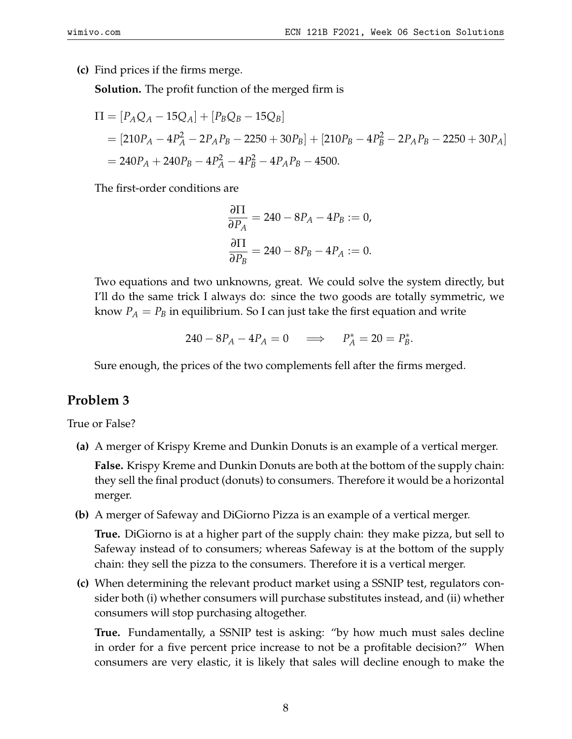**(c)** Find prices if the firms merge.

**Solution.** The profit function of the merged firm is

$$
\Pi = [P_A Q_A - 15Q_A] + [P_B Q_B - 15Q_B]
$$
  
= [210P<sub>A</sub> - 4P<sub>A</sub><sup>2</sup> - 2P<sub>A</sub>P<sub>B</sub> - 2250 + 30P<sub>B</sub>] + [210P<sub>B</sub> - 4P<sub>B</sub><sup>2</sup> - 2P<sub>A</sub>P<sub>B</sub> - 2250 + 30P<sub>A</sub>]  
= 240P<sub>A</sub> + 240P<sub>B</sub> - 4P<sub>A</sub><sup>2</sup> - 4P<sub>B</sub><sup>2</sup> - 4P<sub>A</sub>P<sub>B</sub> - 4500.

The first-order conditions are

$$
\frac{\partial \Pi}{\partial P_A} = 240 - 8P_A - 4P_B := 0,
$$
  

$$
\frac{\partial \Pi}{\partial P_B} = 240 - 8P_B - 4P_A := 0.
$$

Two equations and two unknowns, great. We could solve the system directly, but I'll do the same trick I always do: since the two goods are totally symmetric, we know  $P_A = P_B$  in equilibrium. So I can just take the first equation and write

$$
240 - 8P_A - 4P_A = 0 \quad \Longrightarrow \quad P_A^* = 20 = P_B^*.
$$

Sure enough, the prices of the two complements fell after the firms merged.

## **Problem 3**

True or False?

**(a)** A merger of Krispy Kreme and Dunkin Donuts is an example of a vertical merger.

**False.** Krispy Kreme and Dunkin Donuts are both at the bottom of the supply chain: they sell the final product (donuts) to consumers. Therefore it would be a horizontal merger.

**(b)** A merger of Safeway and DiGiorno Pizza is an example of a vertical merger.

**True.** DiGiorno is at a higher part of the supply chain: they make pizza, but sell to Safeway instead of to consumers; whereas Safeway is at the bottom of the supply chain: they sell the pizza to the consumers. Therefore it is a vertical merger.

**(c)** When determining the relevant product market using a SSNIP test, regulators consider both (i) whether consumers will purchase substitutes instead, and (ii) whether consumers will stop purchasing altogether.

**True.** Fundamentally, a SSNIP test is asking: "by how much must sales decline in order for a five percent price increase to not be a profitable decision?" When consumers are very elastic, it is likely that sales will decline enough to make the